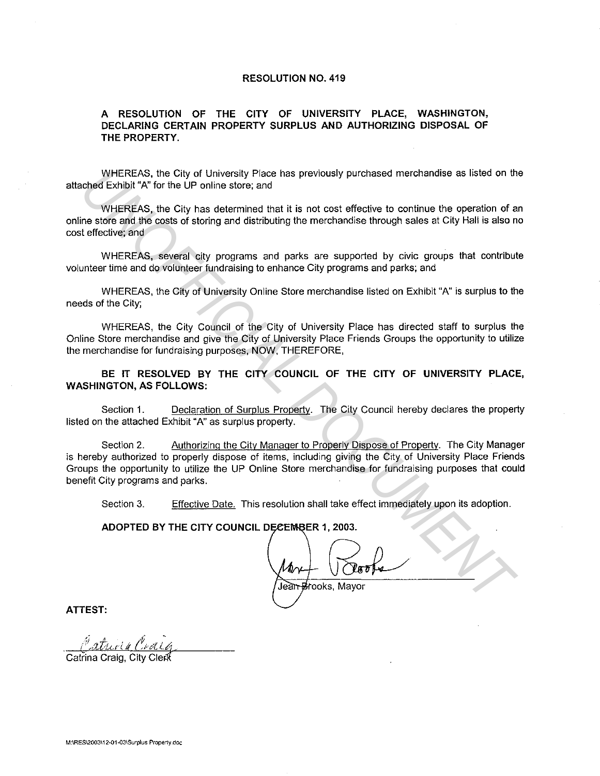## **RESOLUTION NO. 419**

## **A RESOLUTION OF THE CITY OF UNIVERSITY PLACE, WASHINGTON, DECLARING CERTAIN PROPERTY SURPLUS AND AUTHORIZING DISPOSAL OF THE PROPERTY.**

WHEREAS, the City of University Place has previously purchased merchandise as listed on the attached Exhibit "A" for the UP online store; and

WHEREAS, the City has determined that it is not cost effective to continue the operation of an online store and the costs of storing and distributing the merchandise through sales at City Hall is also no cost effective; and

WHEREAS, several city programs and parks are supported by civic groups that contribute volunteer time and do volunteer fundraising to enhance City programs and parks; and

WHEREAS, the City of University Online Store merchandise listed on Exhibit "A" is surplus to the needs of the City;

WHEREAS, the City Council of the City of University Place has directed staff to surplus the Online Store merchandise and give the City of University Place Friends Groups the opportunity to utilize the merchandise for fundraising purposes, NOW, THEREFORE,

**BE IT RESOLVED BY THE CITY COUNCIL OF THE CITY OF UNIVERSITY PLACE, WASHINGTON, AS FOLLOWS:** 

Section 1. Declaration of Surplus Property. The City Council hereby declares the property listed on the attached Exhibit "A" as surplus property.

Section 2. Authorizing the City Manager to Properly Dispose of Property. The City Manager is hereby authorized to properly dispose of items, including giving the City of University Place Friends Groups the opportunity to utilize the UP Online Store merchandise for fundraising purposes that could benefit City programs and parks. WHEREAS, the City of University Piace has previously purchased merchandise as listed on the control explicit X°. Or City of University Piace has previously purchased merchandise as listed on the chedients. WHEREAS, the Cit

Section 3. Effective Date. This resolution shall take effect immediately upon its adoption.

Jean Brooks, Mayor

**ATTEST:** 

Catrina Craig, City Clerk